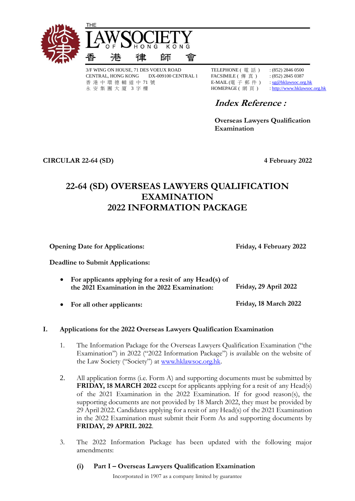

3/F WING ON HOUSE, 71 DES VOEUX ROAD TELEPHONE ( 電 話 ) : (852) 2846 0500 CENTRAL, HONG KONG DX-009100 CENTRAL 1 FACSIMILE ( 傳 真 ) : (852) 2845 0387 香 港 中 環 德 輔 道 中 71 號 **E-MAIL (電 子 郵 件 )** [: sg@hklawsoc.org.hk](mailto:sg@hklawsoc.org.hk) 永 安 集 團 大 廈 3 字 樓 <br>
HOMEPAGE ( 網 頁 ) [: http://www.hklawsoc.org.hk](http://www.hklawsoc.org.hk/)

# **Index Reference :**

**Overseas Lawyers Qualification Examination**

**CIRCULAR 22-64 (SD) 4 February 2022**

## **22-64 (SD) OVERSEAS LAWYERS QUALIFICATION EXAMINATION 2022 INFORMATION PACKAGE**

**Opening Date for Applications:** Friday, 4 February 2022

**Deadline to Submit Applications:** 

- **For applicants applying for a resit of any Head(s) of the 2021 Examination in the 2022 Examination: Friday, 29 April 2022**
- **For all other applicants: Friday, 18 March 2022**

## **I. Applications for the 2022 Overseas Lawyers Qualification Examination**

- 1. The Information Package for the Overseas Lawyers Qualification Examination ("the Examination") in 2022 ("2022 Information Package") is available on the website of the Law Society ("Society") at [www.hklawsoc.org.hk.](http://www.hklawsoc.org.hk/)
- 2. All application forms (i.e. Form A) and supporting documents must be submitted by **FRIDAY, 18 MARCH 2022** except for applicants applying for a resit of any Head(s) of the 2021 Examination in the 2022 Examination. If for good reason(s), the supporting documents are not provided by 18 March 2022, they must be provided by 29 April 2022. Candidates applying for a resit of any Head(s) of the 2021 Examination in the 2022 Examination must submit their Form As and supporting documents by **FRIDAY, 29 APRIL 2022**.
- 3. The 2022 Information Package has been updated with the following major amendments:
	- **(i) Part I – Overseas Lawyers Qualification Examination**

Incorporated in 1907 as a company limited by guarantee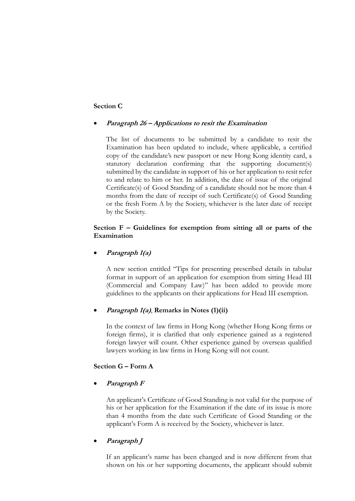#### **Section C**

#### **Paragraph 26 – Applications to resit the Examination**

The list of documents to be submitted by a candidate to resit the Examination has been updated to include, where applicable, a certified copy of the candidate's new passport or new Hong Kong identity card, a statutory declaration confirming that the supporting document(s) submitted by the candidate in support of his or her application to resit refer to and relate to him or her. In addition, the date of issue of the original Certificate(s) of Good Standing of a candidate should not be more than 4 months from the date of receipt of such Certificate(s) of Good Standing or the fresh Form A by the Society, whichever is the later date of receipt by the Society.

#### **Section F – Guidelines for exemption from sitting all or parts of the Examination**

#### **Paragraph 1(a)**

A new section entitled "Tips for presenting prescribed details in tabular format in support of an application for exemption from sitting Head III (Commercial and Company Law)" has been added to provide more guidelines to the applicants on their applications for Head III exemption.

#### **Paragraph 1(a)**, **Remarks in Notes (1)(ii)**

In the context of law firms in Hong Kong (whether Hong Kong firms or foreign firms), it is clarified that only experience gained as a registered foreign lawyer will count. Other experience gained by overseas qualified lawyers working in law firms in Hong Kong will not count.

## **Section G – Form A**

#### **Paragraph F**

An applicant's Certificate of Good Standing is not valid for the purpose of his or her application for the Examination if the date of its issue is more than 4 months from the date such Certificate of Good Standing or the applicant's Form A is received by the Society, whichever is later.

#### **Paragraph J**

If an applicant's name has been changed and is now different from that shown on his or her supporting documents, the applicant should submit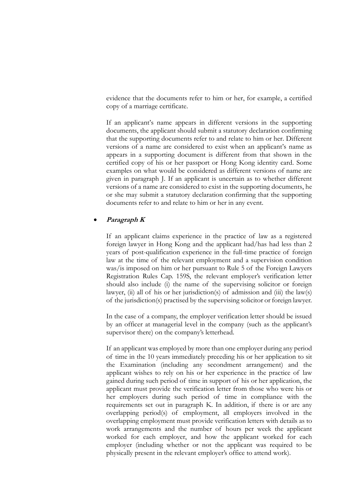evidence that the documents refer to him or her, for example, a certified copy of a marriage certificate.

If an applicant's name appears in different versions in the supporting documents, the applicant should submit a statutory declaration confirming that the supporting documents refer to and relate to him or her. Different versions of a name are considered to exist when an applicant's name as appears in a supporting document is different from that shown in the certified copy of his or her passport or Hong Kong identity card. Some examples on what would be considered as different versions of name are given in paragraph J. If an applicant is uncertain as to whether different versions of a name are considered to exist in the supporting documents, he or she may submit a statutory declaration confirming that the supporting documents refer to and relate to him or her in any event.

#### **Paragraph K**

If an applicant claims experience in the practice of law as a registered foreign lawyer in Hong Kong and the applicant had/has had less than 2 years of post-qualification experience in the full-time practice of foreign law at the time of the relevant employment and a supervision condition was/is imposed on him or her pursuant to Rule 5 of the Foreign Lawyers Registration Rules Cap. 159S, the relevant employer's verification letter should also include (i) the name of the supervising solicitor or foreign lawyer,  $(ii)$  all of his or her jurisdiction(s) of admission and  $(iii)$  the law(s) of the jurisdiction(s) practised by the supervising solicitor or foreign lawyer.

In the case of a company, the employer verification letter should be issued by an officer at managerial level in the company (such as the applicant's supervisor there) on the company's letterhead.

If an applicant was employed by more than one employer during any period of time in the 10 years immediately preceding his or her application to sit the Examination (including any secondment arrangement) and the applicant wishes to rely on his or her experience in the practice of law gained during such period of time in support of his or her application, the applicant must provide the verification letter from those who were his or her employers during such period of time in compliance with the requirements set out in paragraph K. In addition, if there is or are any overlapping period(s) of employment, all employers involved in the overlapping employment must provide verification letters with details as to work arrangements and the number of hours per week the applicant worked for each employer, and how the applicant worked for each employer (including whether or not the applicant was required to be physically present in the relevant employer's office to attend work).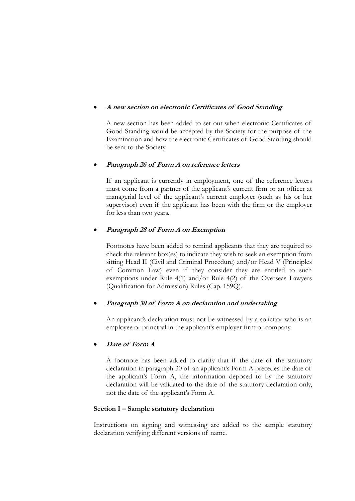#### **A new section on electronic Certificates of Good Standing**

A new section has been added to set out when electronic Certificates of Good Standing would be accepted by the Society for the purpose of the Examination and how the electronic Certificates of Good Standing should be sent to the Society.

### **Paragraph 26 of Form A on reference letters**

If an applicant is currently in employment, one of the reference letters must come from a partner of the applicant's current firm or an officer at managerial level of the applicant's current employer (such as his or her supervisor) even if the applicant has been with the firm or the employer for less than two years.

## **Paragraph 28 of Form A on Exemption**

Footnotes have been added to remind applicants that they are required to check the relevant box(es) to indicate they wish to seek an exemption from sitting Head II (Civil and Criminal Procedure) and/or Head V (Principles of Common Law) even if they consider they are entitled to such exemptions under Rule 4(1) and/or Rule 4(2) of the Overseas Lawyers (Qualification for Admission) Rules (Cap. 159Q).

## **Paragraph 30 of Form A on declaration and undertaking**

An applicant's declaration must not be witnessed by a solicitor who is an employee or principal in the applicant's employer firm or company.

#### **Date of Form A**

A footnote has been added to clarify that if the date of the statutory declaration in paragraph 30 of an applicant's Form A precedes the date of the applicant's Form A, the information deposed to by the statutory declaration will be validated to the date of the statutory declaration only, not the date of the applicant's Form A.

#### **Section I – Sample statutory declaration**

Instructions on signing and witnessing are added to the sample statutory declaration verifying different versions of name.